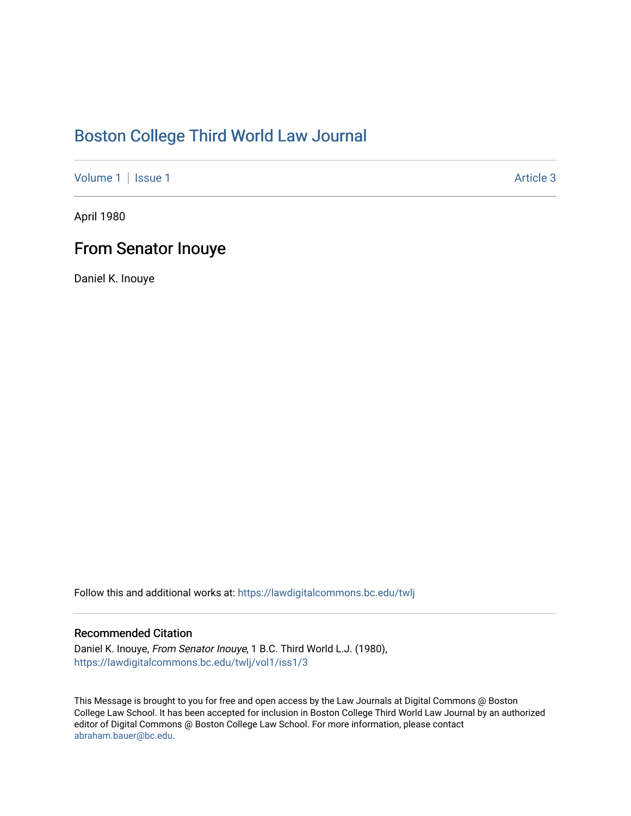## [Boston College Third World Law Journal](https://lawdigitalcommons.bc.edu/twlj)

[Volume 1](https://lawdigitalcommons.bc.edu/twlj/vol1) | [Issue 1](https://lawdigitalcommons.bc.edu/twlj/vol1/iss1) Article 3

April 1980

### From Senator Inouye

Daniel K. Inouye

Follow this and additional works at: [https://lawdigitalcommons.bc.edu/twlj](https://lawdigitalcommons.bc.edu/twlj?utm_source=lawdigitalcommons.bc.edu%2Ftwlj%2Fvol1%2Fiss1%2F3&utm_medium=PDF&utm_campaign=PDFCoverPages) 

#### Recommended Citation

Daniel K. Inouye, From Senator Inouye, 1 B.C. Third World L.J. (1980), [https://lawdigitalcommons.bc.edu/twlj/vol1/iss1/3](https://lawdigitalcommons.bc.edu/twlj/vol1/iss1/3?utm_source=lawdigitalcommons.bc.edu%2Ftwlj%2Fvol1%2Fiss1%2F3&utm_medium=PDF&utm_campaign=PDFCoverPages) 

This Message is brought to you for free and open access by the Law Journals at Digital Commons @ Boston College Law School. It has been accepted for inclusion in Boston College Third World Law Journal by an authorized editor of Digital Commons @ Boston College Law School. For more information, please contact [abraham.bauer@bc.edu.](mailto:abraham.bauer@bc.edu)